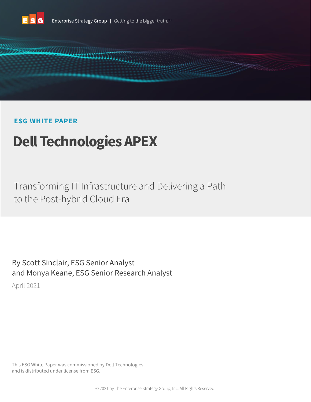



# **ESG WHITE PAPER**

# **Dell Technologies APEX**

Transforming IT Infrastructure and Delivering a Path to the Post-hybrid Cloud Era

By Scott Sinclair, ESG Senior Analyst and Monya Keane, ESG Senior Research Analyst April 2021

This ESG White Paper was commissioned by Dell Technologies and is distributed under license from ESG.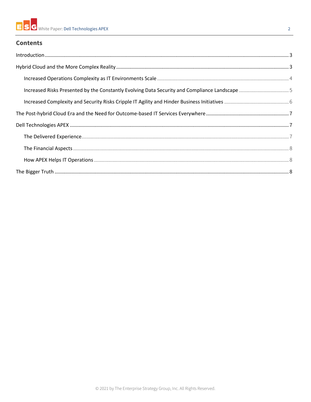# **Contents**

| $\label{lem:1} \mbox{Introduction} \,\, \ldots \,\, \ldots \,\, \ldots \,\, \ldots \,\, \ldots \,\, \ldots \,\, \ldots \,\, \ldots \,\, \ldots \,\, \ldots \,\, \ldots \,\, \ldots \,\, \ldots \,\, \ldots \,\, \ldots \,\, \ldots \,\, \ldots \,\, \ldots \,\, \ldots \,\, \ldots \,\, \ldots \,\, \ldots \,\, \ldots \,\, \ldots \,\, \ldots \,\, \ldots \,\, \ldots \,\, \ldots \,\, \ldots \,\, \ldots \,\, \ldots \,\, \ldots \,\, \ldots \,\, \ldots \,\,$ |  |
|------------------------------------------------------------------------------------------------------------------------------------------------------------------------------------------------------------------------------------------------------------------------------------------------------------------------------------------------------------------------------------------------------------------------------------------------------------------|--|
|                                                                                                                                                                                                                                                                                                                                                                                                                                                                  |  |
|                                                                                                                                                                                                                                                                                                                                                                                                                                                                  |  |
|                                                                                                                                                                                                                                                                                                                                                                                                                                                                  |  |
|                                                                                                                                                                                                                                                                                                                                                                                                                                                                  |  |
|                                                                                                                                                                                                                                                                                                                                                                                                                                                                  |  |
|                                                                                                                                                                                                                                                                                                                                                                                                                                                                  |  |
|                                                                                                                                                                                                                                                                                                                                                                                                                                                                  |  |
|                                                                                                                                                                                                                                                                                                                                                                                                                                                                  |  |
|                                                                                                                                                                                                                                                                                                                                                                                                                                                                  |  |
|                                                                                                                                                                                                                                                                                                                                                                                                                                                                  |  |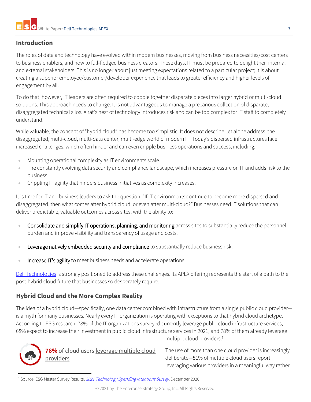# <span id="page-2-0"></span>**Introduction**

The roles of data and technology have evolved within modern businesses, moving from business necessities/cost centers to business enablers, and now to full-fledged business creators. These days, IT must be prepared to delight their internal and external stakeholders. This is no longer about just meeting expectations related to a particular project; it is about creating a superior employee/customer/developer experience that leads to greater efficiency and higher levels of engagement by all.

To do that, however, IT leaders are often required to cobble together disparate pieces into larger hybrid or multi-cloud solutions. This approach needs to change. It is not advantageous to manage a precarious collection of disparate, disaggregated technical silos. A rat's nest of technology introduces risk and can be too complex for IT staff to completely understand.

While valuable, the concept of "hybrid cloud" has become too simplistic. It does not describe, let alone address, the disaggregated, multi-cloud, multi-data center, multi-edge world of modern IT. Today's dispersed infrastructures face increased challenges, which often hinder and can even cripple business operations and success, including:

- Mounting operational complexity as IT environments scale.
- The constantly evolving data security and compliance landscape, which increases pressure on IT and adds risk to the business.
- Crippling IT agility that hinders business initiatives as complexity increases.

It is time for IT and business leaders to ask the question, "If IT environments continue to become more dispersed and disaggregated, then what comes after hybrid cloud, or even after multi-cloud?" Businesses need IT solutions that can deliver predictable, valuable outcomes across sites, with the ability to:

- Consolidate and simplify IT operations, planning, and monitoring across sites to substantially reduce the personnel burden and improve visibility and transparency of usage and costs.
- Leverage natively embedded security and compliance to substantially reduce business risk.
- Increase IT's agility to meet business needs and accelerate operations.

[Dell Technologies](https://www.delltechnologies.com/en-us/index.htm) is strongly positioned to address these challenges. Its APEX offering represents the start of a path to the post-hybrid cloud future that businesses so desperately require.

# <span id="page-2-1"></span>**Hybrid Cloud and the More Complex Reality**

The idea of a hybrid cloud—specifically, one data center combined with infrastructure from a single public cloud provider is a myth for many businesses. Nearly every IT organization is operating with exceptions to that hybrid cloud archetype. According to ESG research, 78% of the IT organizations surveyed currently leverage public cloud infrastructure services, 68% expect to increase their investment in public cloud infrastructure services in 2021, and 78% of them already leverage multiple cloud providers.<sup>1</sup>



The use of more than one cloud provider is increasingly deliberate—51% of multiple cloud users report leveraging various providers in a meaningful way rather

<sup>&</sup>lt;sup>1</sup> Source: ESG Master Survey Results, [2021 Technology Spending Intentions Survey](https://research.esg-global.com/reportaction/MSR2021SpendingIntentionsDec2020/Toc), December 2020.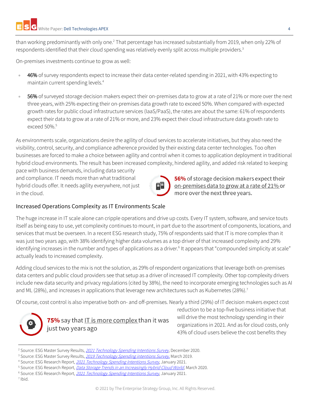than working predominantly with only one.<sup>2</sup> That percentage has increased substantially from 2019, when only 22% of respondents identified that their cloud spending was relatively evenly split across multiple providers.<sup>3</sup>

On-premises investments continue to grow as well:

- 46% of survey respondents expect to increase their data center-related spending in 2021, with 43% expecting to maintain current spending levels.<sup>4</sup>
- 56% of surveyed storage decision makers expect their on-premises data to grow at a rate of 21% or more over the next three years, with 25% expecting their on-premises data growth rate to exceed 50%. When compared with expected growth rates for public cloud infrastructure services (IaaS/PaaS), the rates are about the same: 61% of respondents expect their data to grow at a rate of 21% or more, and 23% expect their cloud infrastructure data growth rate to exceed 50%.<sup>5</sup>

As environments scale, organizations desire the agility of cloud services to accelerate initiatives, but they also need the visibility, control, security, and compliance adherence provided by their existing data center technologies. Too often businesses are forced to make a choice between agility and control when it comes to application deployment in traditional hybrid cloud environments. The result has been increased complexity, hindered agility, and added risk related to keeping

pace with business demands, including data security and compliance. IT needs more than what traditional hybrid clouds offer. It needs agility everywhere, not just in the cloud.

#### <span id="page-3-0"></span>Increased Operations Complexity as IT Environments Scale

The huge increase in IT scale alone can cripple operations and drive up costs. Every IT system, software, and service touts itself as being easy to use, yet complexity continues to mount, in part due to the assortment of components, locations, and services that must be overseen. In a recent ESG research study, 75% of respondents said that IT is more complex than it was just two years ago, with 38% identifying higher data volumes as a top driver of that increased complexity and 29% identifying increases in the number and types of applications as a driver.<sup>6</sup> It appears that "compounded simplicity at scale" actually leads to increased complexity.

Adding cloud services to the mix is not the solution, as 29% of respondent organizations that leverage both on-premises data centers and public cloud providers see that setup as a driver of increased IT complexity. Other top complexity drivers include new data security and privacy regulations (cited by 38%), the need to incorporate emerging technologies such as AI and ML (28%), and increases in applications that leverage new architectures such as Kubernetes (28%).<sup>7</sup>

Of course, cost control is also imperative both on- and off-premises. Nearly a third (29%) of IT decision makers expect cost



75% say that IT is more complex than it was just two years ago

reduction to be a top-five business initiative that will drive the most technology spending in their organizations in 2021. And as for cloud costs, only 43% of cloud users believe the cost benefits they

56% of storage decision makers expect their on-premises data to grow at a rate of 21% or

more over the next three years.

<sup>&</sup>lt;sup>2</sup> Source: ESG Master Survey Results, [2021 Technology Spending Intentions Survey](https://research.esg-global.com/reportaction/MSR2021SpendingIntentionsDec2020/Toc), December 2020.

<sup>&</sup>lt;sup>3</sup> Source: ESG Master Survey Results, [2019 Technology Spending intentions Survey](https://research.esg-global.com/reportaction/2019technologyspendingintentionsmsr/Toc), March 2019.

<sup>&</sup>lt;sup>4</sup> Source: ESG Research Report, [2021 Technology Spending Intentions Survey](https://research.esg-global.com/reportaction/2021techspendingintentionsreport/Toc), January 2021.

<sup>&</sup>lt;sup>5</sup> Source: ESG Research Report, *[Data Storage Trends in an Increasingly Hybrid Cloud World](https://research.esg-global.com/reportaction/DataStorageTrendsMar2020/Toc)*, March 2020.

<sup>&</sup>lt;sup>6</sup> Source: ESG Research Report, [2021 Technology Spending Intentions Survey](https://research.esg-global.com/reportaction/2021techspendingintentionsreport/Toc), January 2021.

<sup>7</sup> Ibid.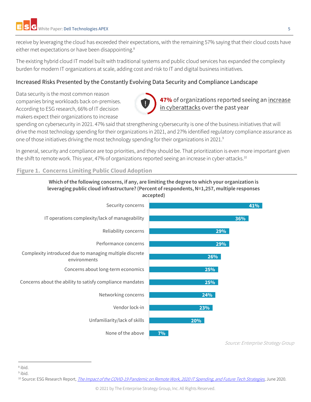receive by leveraging the cloud has exceeded their expectations, with the remaining 57% saying that their cloud costs have either met expectations or have been disappointing.<sup>8</sup>

The existing hybrid cloud IT model built with traditional systems and public cloud services has expanded the complexity burden for modern IT organizations at scale, adding cost and risk to IT and digital business initiatives.

## <span id="page-4-0"></span>Increased Risks Presented by the Constantly Evolving Data Security and Compliance Landscape

Data security is the most common reason companies bring workloads back on-premises. According to ESG research, 66% of IT decision makers expect their organizations to increase



47% of organizations reported seeing an <u>increase</u><br>in cyberattacks over the past year

spending on cybersecurity in 2021. 47% said that strengthening cybersecurity is one of the business initiatives that will drive the most technology spending for their organizations in 2021, and 27% identified regulatory compliance assurance as one of those initiatives driving the most technology spending for their organizations in 2021.<sup>9</sup>

In general, security and compliance are top priorities, and they should be. That prioritization is even more important given the shift to remote work. This year, 47% of organizations reported seeing an increase in cyber-attacks.<sup>10</sup>

#### **Figure 1. Concerns Limiting Public Cloud Adoption**





Source: Enterprise Strategy Group

<sup>9</sup> ibid.

<sup>8</sup> ibid.

<sup>&</sup>lt;sup>10</sup> Source: ESG Research Report, *[The Impact of the COVID-19 Pandemic on Remote Work, 2020 IT Spending, and Future Tech Strategies,](https://research.esg-global.com/reportaction/COVID-19Impact/Toc) June 2020.*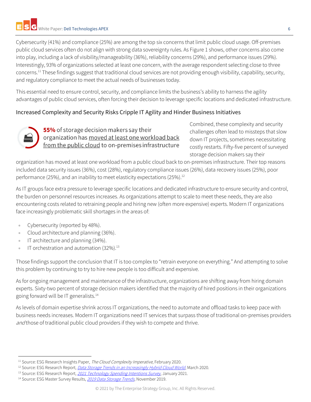Cybersecurity (41%) and compliance (25%) are among the top six concerns that limit public cloud usage. Off-premises public cloud services often do not align with strong data sovereignty rules. As Figure 1 shows, other concerns also come into play, including a lack of visibility/manageability (36%), reliability concerns (29%), and performance issues (29%). Interestingly, 93% of organizations selected at least one concern, with the average respondent selecting close to three concerns.<sup>11</sup> These findings suggest that traditional cloud services are not providing enough visibility, capability, security, and regulatory compliance to meet the actual needs of businesses today.

This essential need to ensure control, security, and compliance limits the business's ability to harness the agility advantages of public cloud services, often forcing their decision to leverage specific locations and dedicated infrastructure.

## <span id="page-5-0"></span>Increased Complexity and Security Risks Cripple IT Agility and Hinder Business Initiatives



**55%** of storage decision makers say their organization has moved at least one workload back from the public cloud to on-premises infrastructure Combined, these complexity and security challenges often lead to missteps that slow down IT projects, sometimes necessitating costly restarts. Fifty-five percent of surveyed storage decision makers say their

organization has moved at least one workload from a public cloud back to on-premises infrastructure. Their top reasons included data security issues (36%), cost (28%), regulatory compliance issues (26%), data recovery issues (25%), poor performance (25%), and an inability to meet elasticity expectations (25%). 12

As IT groups face extra pressure to leverage specific locations and dedicated infrastructure to ensure security and control, the burden on personnel resources increases. As organizations attempt to scale to meet these needs, they are also encountering costs related to retraining people and hiring new (often more expensive) experts. Modern IT organizations face increasingly problematic skill shortages in the areas of:

- Cybersecurity (reported by 48%).
- Cloud architecture and planning (36%).
- IT architecture and planning (34%).
- IT orchestration and automation (32%).<sup>13</sup>

Those findings support the conclusion that IT is too complex to "retrain everyone on everything." And attempting to solve this problem by continuing to try to hire new people is too difficult and expensive.

As for ongoing management and maintenance of the infrastructure, organizations are shifting away from hiring domain experts. Sixty-two percent of storage decision makers identified that the majority of hired positions in their organizations going forward will be IT generalists.<sup>14</sup>

As levels of domain expertise shrink across IT organizations, the need to automate and offload tasks to keep pace with business needs increases. Modern IT organizations need IT services that surpass those of traditional on-premises providers and those of traditional public cloud providers if they wish to compete and thrive.

<sup>&</sup>lt;sup>11</sup> Source: ESG Research Insights Paper, The Cloud Complexity Imperative, February 2020.

<sup>&</sup>lt;sup>12</sup> Source: ESG Research Report, *[Data Storage Trends in an Increasingly Hybrid Cloud World](https://research.esg-global.com/reportaction/DataStorageTrendsMar2020/Toc)*, March 2020.

<sup>&</sup>lt;sup>13</sup> Source: ESG Research Report, [2021 Technology Spending Intentions Survey](https://research.esg-global.com/reportaction/2021techspendingintentionsreport/Toc), January 2021.

<sup>&</sup>lt;sup>14</sup> Source: ESG Master Survey Results, [2019 Data Storage Trends](https://research.esg-global.com/reportaction/DataStorageTrendsMSR2019/Toc), November 2019.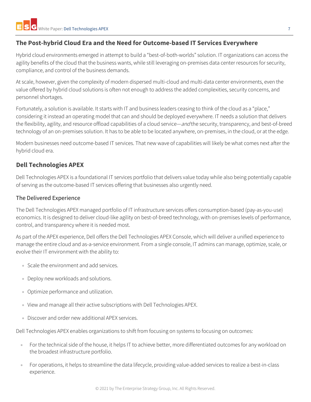## <span id="page-6-0"></span>**The Post-hybrid Cloud Era and the Need for Outcome-based IT Services Everywhere**

Hybrid cloud environments emerged in attempt to build a "best-of-both-worlds" solution. IT organizations can access the agility benefits of the cloud that the business wants, while still leveraging on-premises data center resources for security, compliance, and control of the business demands.

At scale, however, given the complexity of modern dispersed multi-cloud and multi-data center environments, even the value offered by hybrid cloud solutions is often not enough to address the added complexities, security concerns, and personnel shortages.

Fortunately, a solution is available. It starts with IT and business leaders ceasing to think of the cloud as a "place," considering it instead an operating model that can and should be deployed everywhere. IT needs a solution that delivers the flexibility, agility, and resource offload capabilities of a cloud service—and the security, transparency, and best-of-breed technology of an on-premises solution. It has to be able to be located anywhere, on-premises, in the cloud, or at the edge.

Modern businesses need outcome-based IT services. That new wave of capabilities will likely be what comes next after the hybrid cloud era.

## <span id="page-6-1"></span>**Dell Technologies APEX**

Dell Technologies APEX is a foundational IT services portfolio that delivers value today while also being potentially capable of serving as the outcome-based IT services offering that businesses also urgently need.

#### <span id="page-6-2"></span>The Delivered Experience

The Dell Technologies APEX managed portfolio of IT infrastructure services offers consumption-based (pay-as-you-use) economics. It is designed to deliver cloud-like agility on best-of-breed technology, with on-premises levels of performance, control, and transparency where it is needed most.

As part of the APEX experience, Dell offers the Dell Technologies APEX Console, which will deliver a unified experience to manage the entire cloud and as-a-service environment. From a single console, IT admins can manage, optimize, scale, or evolve their IT environment with the ability to:

- Scale the environment and add services.
- Deploy new workloads and solutions.
- Optimize performance and utilization.
- View and manage all their active subscriptions with Dell Technologies APEX.
- Discover and order new additional APEX services.

Dell Technologies APEX enables organizations to shift from focusing on systems to focusing on outcomes:

- For the technical side of the house, it helps IT to achieve better, more differentiated outcomes for any workload on the broadest infrastructure portfolio.
- For operations, it helps to streamline the data lifecycle, providing value-added services to realize a best-in-class experience.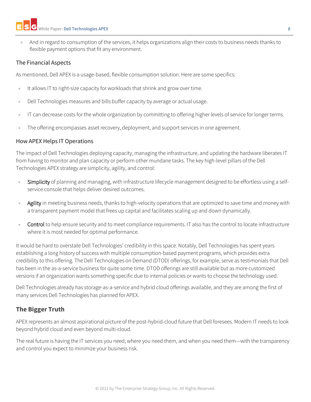• And in regard to consumption of the services, it helps organizations align their costs to business needs thanks to flexible payment options that fit any environment.

#### <span id="page-7-0"></span>The Financial Aspects

As mentioned, Dell APEX is a usage-based, flexible consumption solution. Here are some specifics:

- It allows IT to right-size capacity for workloads that shrink and grow over time.
- Dell Technologies measures and bills buffer capacity by average or actual usage.
- IT can decrease costs for the whole organization by committing to offering higher levels of service for longer terms.
- The offering encompasses asset recovery, deployment, and support services in one agreement.

#### <span id="page-7-1"></span>How APEX Helps IT Operations

The impact of Dell Technologies deploying capacity, managing the infrastructure, and updating the hardware liberates IT from having to monitor and plan capacity or perform other mundane tasks. The key high-level pillars of the Dell Technologies APEX strategy are simplicity, agility, and control:

- Simplicity of planning and managing, with infrastructure lifecycle management designed to be effortless using a selfservice console that helps deliver desired outcomes.
- Agility in meeting business needs, thanks to high-velocity operations that are optimized to save time and money with a transparent payment model that frees up capital and facilitates scaling up and down dynamically.
- Control to help ensure security and to meet compliance requirements. IT also has the control to locate infrastructure where it is most needed for optimal performance.

It would be hard to overstate Dell Technologies' credibility in this space. Notably, Dell Technologies has spent years establishing a long history of success with multiple consumption-based payment programs, which provides extra credibility to this offering. The Dell Technologies on Demand (DTOD) offerings, for example, serve as testimonials that Dell has been in the as-a-service business for quite some time. DTOD offerings are still available but as more customized versions if an organization wants something specific due to internal policies or wants to choose the technology used.

Dell Technologies already has storage-as-a-service and hybrid cloud offerings available, and they are among the first of many services Dell Technologies has planned for APEX.

## <span id="page-7-2"></span>**The Bigger Truth**

APEX represents an almost aspirational picture of the post-hybrid-cloud future that Dell foresees. Modern IT needs to look beyond hybrid cloud and even beyond multi-cloud.

The real future is having the IT services you need, where you need them, and when you need them—with the transparency and control you expect to minimize your business risk.